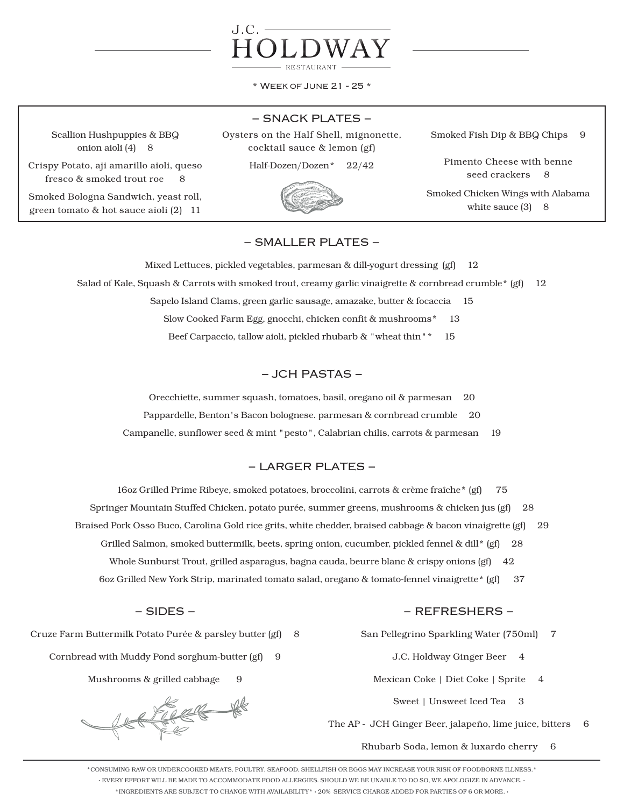

\* Week of June 21 - 25 \*

# − SNACK PLATES −

Scallion Hushpuppies & BBQ onion aioli (4) 8

Crispy Potato, aji amarillo aioli, queso fresco & smoked trout roe 8

Smoked Bologna Sandwich, yeast roll, green tomato & hot sauce aioli (2) 11

# Oysters on the Half Shell, mignonette, cocktail sauce & lemon (gf)

Half-Dozen/Dozen\* 22/42



Smoked Fish Dip & BBQ Chips 9

Pimento Cheese with benne seed crackers 8

Smoked Chicken Wings with Alabama white sauce  $(3)$  8

# − SMALLER PLATES −

Mixed Lettuces, pickled vegetables, parmesan & dill-yogurt dressing (gf) 12 Salad of Kale, Squash & Carrots with smoked trout, creamy garlic vinaigrette & cornbread crumble\* (gf) 12 Sapelo Island Clams, green garlic sausage, amazake, butter & focaccia 15 Slow Cooked Farm Egg, gnocchi, chicken confit & mushrooms\* 13 Beef Carpaccio, tallow aioli, pickled rhubarb & "wheat thin"\* 15

# − JCH PASTAS −

Orecchiette, summer squash, tomatoes, basil, oregano oil & parmesan 20

Pappardelle, Benton's Bacon bolognese. parmesan & cornbread crumble 20

Campanelle, sunflower seed & mint "pesto", Calabrian chilis, carrots & parmesan 19

# − LARGER PLATES −

16oz Grilled Prime Ribeye, smoked potatoes, broccolini, carrots & crème fraîche\* (gf) 75

Springer Mountain Stuffed Chicken, potato purée, summer greens, mushrooms & chicken jus (gf) 28

Braised Pork Osso Buco, Carolina Gold rice grits, white chedder, braised cabbage & bacon vinaigrette (gf) 29

- Grilled Salmon, smoked buttermilk, beets, spring onion, cucumber, pickled fennel & dill\* (gf) 28
	- Whole Sunburst Trout, grilled asparagus, bagna cauda, beurre blanc & crispy onions (gf) 42
- 6oz Grilled New York Strip, marinated tomato salad, oregano & tomato-fennel vinaigrette\* (gf) 37

# − SIDES −

Cruze Farm Buttermilk Potato Purée & parsley butter (gf) 8

Cornbread with Muddy Pond sorghum-butter (gf) 9

Mushrooms & grilled cabbage 9

REFERE

### − REFRESHERS −

San Pellegrino Sparkling Water (750ml) 7

- J.C. Holdway Ginger Beer 4
- Mexican Coke | Diet Coke | Sprite 4
	- Sweet | Unsweet Iced Tea 3

The AP - JCH Ginger Beer, jalapeño, lime juice, bitters 6

Rhubarb Soda, lemon & luxardo cherry 6

\*CONSUMING RAW OR UNDERCOOKED MEATS, POULTRY, SEAFOOD, SHELLFISH OR EGGS MAY INCREASE YOUR RISK OF FOODBORNE ILLNESS.\* · EVERY EFFORT WILL BE MADE TO ACCOMMODATE FOOD ALLERGIES. SHOULD WE BE UNABLE TO DO SO, WE APOLOGIZE IN ADVANCE. · \*INGREDIENTS ARE SUBJECT TO CHANGE WITH AVAILABILITY\* · 20% SERVICE CHARGE ADDED FOR PARTIES OF 6 OR MORE. ·